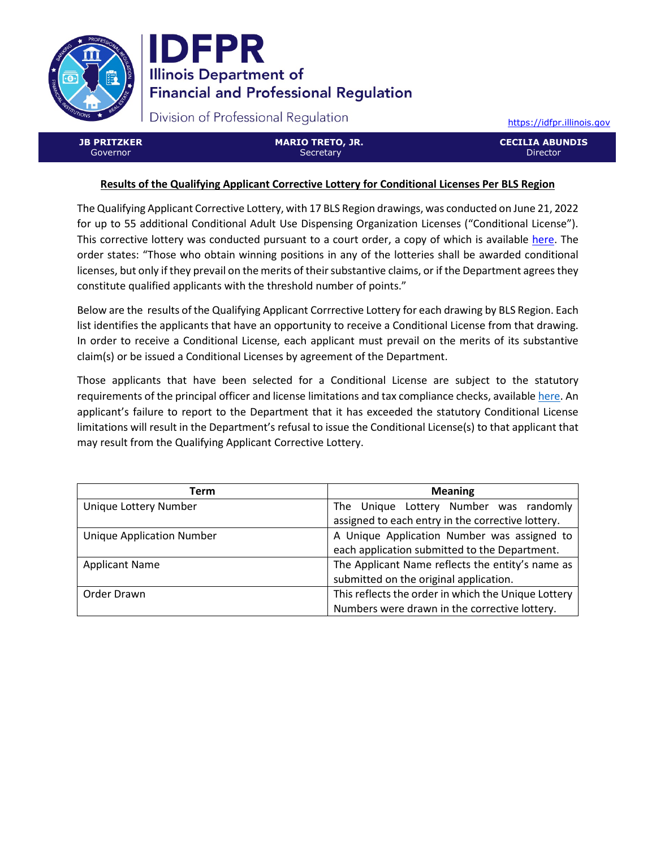



Division of Professional Regulation

[https://idfpr.illinois.gov](https://idfpr.illinois.gov/)

**JB PRITZKER** Governor

**MARIO TRETO, JR. Secretary** 

**CECILIA ABUNDIS Director** 

## **Results of the Qualifying Applicant Corrective Lottery for Conditional Licenses Per BLS Region**

The Qualifying Applicant Corrective Lottery, with 17 BLS Region drawings, was conducted on June 21, 2022 for up to 55 additional Conditional Adult Use Dispensing Organization Licenses ("Conditional License"). This corrective lottery was conducted pursuant to a court order, a copy of which is available [here.](https://idfpr.illinois.gov/Forms/AUC/2022%2005%2019%20Cannabis%20order.pdf) The order states: "Those who obtain winning positions in any of the lotteries shall be awarded conditional licenses, but only if they prevail on the merits of their substantive claims, or if the Department agrees they constitute qualified applicants with the threshold number of points."

Below are the results of the Qualifying Applicant Corrrective Lottery for each drawing by BLS Region. Each list identifies the applicants that have an opportunity to receive a Conditional License from that drawing. In order to receive a Conditional License, each applicant must prevail on the merits of its substantive claim(s) or be issued a Conditional Licenses by agreement of the Department.

Those applicants that have been selected for a Conditional License are subject to the statutory requirements of the principal officer and license limitations and tax compliance checks, availabl[e here.](https://www.idfpr.com/Forms/AUC/FAQs%20for%20QAL%20SEJIL%20and%20TAL.pdf) An applicant's failure to report to the Department that it has exceeded the statutory Conditional License limitations will result in the Department's refusal to issue the Conditional License(s) to that applicant that may result from the Qualifying Applicant Corrective Lottery.

| Term                             | <b>Meaning</b>                                      |  |
|----------------------------------|-----------------------------------------------------|--|
| Unique Lottery Number            | The Unique Lottery Number was randomly              |  |
|                                  | assigned to each entry in the corrective lottery.   |  |
| <b>Unique Application Number</b> | A Unique Application Number was assigned to         |  |
|                                  | each application submitted to the Department.       |  |
| <b>Applicant Name</b>            | The Applicant Name reflects the entity's name as    |  |
|                                  | submitted on the original application.              |  |
| Order Drawn                      | This reflects the order in which the Unique Lottery |  |
|                                  | Numbers were drawn in the corrective lottery.       |  |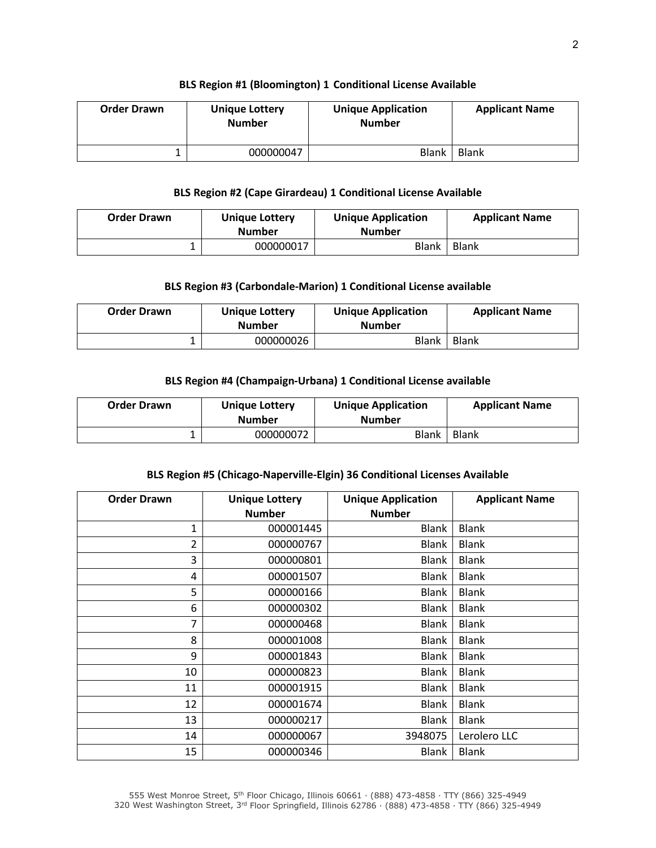#### **BLS Region #1 (Bloomington) 1 Conditional License Available**

| <b>Order Drawn</b> | <b>Unique Lottery</b><br><b>Number</b> | <b>Unique Application</b><br><b>Number</b> | <b>Applicant Name</b> |
|--------------------|----------------------------------------|--------------------------------------------|-----------------------|
|                    | 000000047                              | <b>Blank</b>                               | <b>Blank</b>          |

### **BLS Region #2 (Cape Girardeau) 1 Conditional License Available**

| <b>Order Drawn</b> | <b>Unique Lottery</b><br><b>Number</b> | <b>Unique Application</b><br><b>Number</b> | <b>Applicant Name</b> |
|--------------------|----------------------------------------|--------------------------------------------|-----------------------|
|                    | 000000017                              | <b>Blank</b>                               | Blank                 |

## **BLS Region #3 (Carbondale-Marion) 1 Conditional License available**

| <b>Order Drawn</b> | <b>Unique Lottery</b><br><b>Number</b> | <b>Unique Application</b><br><b>Number</b> | <b>Applicant Name</b> |
|--------------------|----------------------------------------|--------------------------------------------|-----------------------|
|                    | 000000026                              | Blank                                      | <b>Blank</b>          |

#### **BLS Region #4 (Champaign-Urbana) 1 Conditional License available**

| <b>Order Drawn</b> | <b>Unique Lottery</b><br><b>Number</b> | <b>Unique Application</b><br><b>Number</b> | <b>Applicant Name</b> |
|--------------------|----------------------------------------|--------------------------------------------|-----------------------|
|                    | 000000072                              | Blank                                      | <b>Blank</b>          |

#### **BLS Region #5 (Chicago-Naperville-Elgin) 36 Conditional Licenses Available**

| <b>Order Drawn</b> | <b>Unique Lottery</b><br><b>Number</b> | <b>Unique Application</b><br><b>Number</b> | <b>Applicant Name</b> |
|--------------------|----------------------------------------|--------------------------------------------|-----------------------|
| 1                  | 000001445                              | <b>Blank</b>                               | <b>Blank</b>          |
| 2                  | 000000767                              | Blank                                      | <b>Blank</b>          |
| 3                  | 000000801                              | <b>Blank</b>                               | <b>Blank</b>          |
| 4                  | 000001507                              | <b>Blank</b>                               | <b>Blank</b>          |
| 5                  | 000000166                              | <b>Blank</b>                               | <b>Blank</b>          |
| 6                  | 000000302                              | <b>Blank</b>                               | <b>Blank</b>          |
| 7                  | 000000468                              | <b>Blank</b>                               | <b>Blank</b>          |
| 8                  | 000001008                              | <b>Blank</b>                               | <b>Blank</b>          |
| 9                  | 000001843                              | <b>Blank</b>                               | <b>Blank</b>          |
| 10                 | 000000823                              | <b>Blank</b>                               | <b>Blank</b>          |
| 11                 | 000001915                              | <b>Blank</b>                               | <b>Blank</b>          |
| 12                 | 000001674                              | <b>Blank</b>                               | <b>Blank</b>          |
| 13                 | 000000217                              | <b>Blank</b>                               | <b>Blank</b>          |
| 14                 | 000000067                              | 3948075                                    | Lerolero LLC          |
| 15                 | 000000346                              | Blank                                      | <b>Blank</b>          |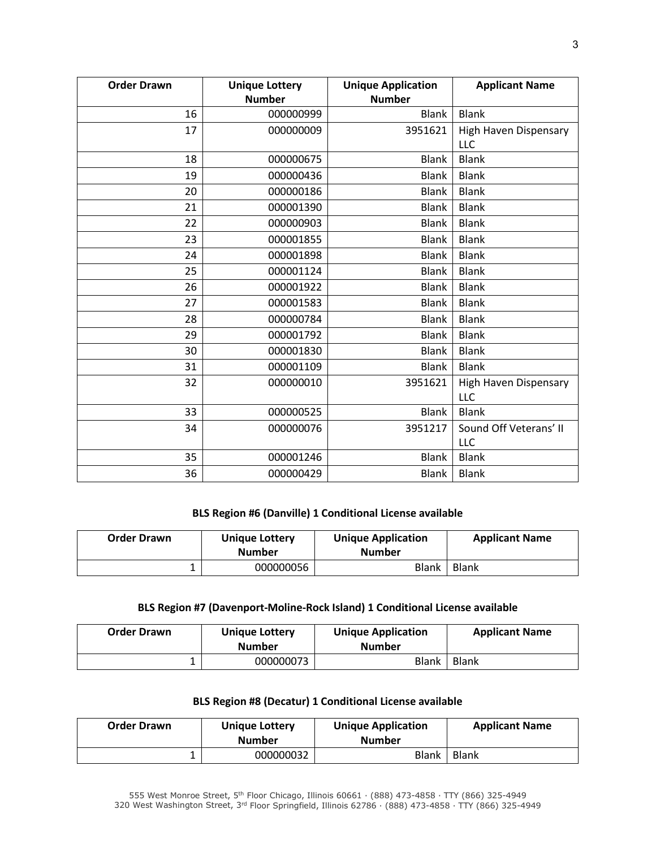| <b>Order Drawn</b> | <b>Unique Lottery</b><br><b>Number</b> | <b>Unique Application</b><br><b>Number</b> | <b>Applicant Name</b>               |
|--------------------|----------------------------------------|--------------------------------------------|-------------------------------------|
| 16                 | 000000999                              | <b>Blank</b>                               | <b>Blank</b>                        |
| 17                 | 000000009                              | 3951621                                    | High Haven Dispensary               |
|                    |                                        |                                            | <b>LLC</b>                          |
| 18                 | 000000675                              | <b>Blank</b>                               | <b>Blank</b>                        |
| 19                 | 000000436                              | <b>Blank</b>                               | <b>Blank</b>                        |
| 20                 | 000000186                              | <b>Blank</b>                               | <b>Blank</b>                        |
| 21                 | 000001390                              | <b>Blank</b>                               | <b>Blank</b>                        |
| 22                 | 000000903                              | <b>Blank</b>                               | <b>Blank</b>                        |
| 23                 | 000001855                              | <b>Blank</b>                               | <b>Blank</b>                        |
| 24                 | 000001898                              | <b>Blank</b>                               | <b>Blank</b>                        |
| 25                 | 000001124                              | <b>Blank</b>                               | <b>Blank</b>                        |
| 26                 | 000001922                              | <b>Blank</b>                               | <b>Blank</b>                        |
| 27                 | 000001583                              | <b>Blank</b>                               | <b>Blank</b>                        |
| 28                 | 000000784                              | <b>Blank</b>                               | <b>Blank</b>                        |
| 29                 | 000001792                              | <b>Blank</b>                               | <b>Blank</b>                        |
| 30                 | 000001830                              | <b>Blank</b>                               | <b>Blank</b>                        |
| 31                 | 000001109                              | <b>Blank</b>                               | <b>Blank</b>                        |
| 32                 | 000000010                              | 3951621                                    | High Haven Dispensary<br><b>LLC</b> |
| 33                 | 000000525                              | <b>Blank</b>                               | <b>Blank</b>                        |
| 34                 | 000000076                              | 3951217                                    | Sound Off Veterans' II              |
|                    |                                        |                                            | LLC                                 |
| 35                 | 000001246                              | <b>Blank</b>                               | <b>Blank</b>                        |
| 36                 | 000000429                              | <b>Blank</b>                               | <b>Blank</b>                        |

## **BLS Region #6 (Danville) 1 Conditional License available**

| <b>Order Drawn</b> | <b>Unique Lottery</b><br><b>Number</b> | <b>Unique Application</b><br><b>Number</b> | <b>Applicant Name</b> |
|--------------------|----------------------------------------|--------------------------------------------|-----------------------|
|                    | 000000056                              | Blank                                      | <b>Blank</b>          |

# **BLS Region #7 (Davenport-Moline-Rock Island) 1 Conditional License available**

| <b>Order Drawn</b> | <b>Unique Lottery</b><br><b>Number</b> | <b>Unique Application</b><br><b>Number</b> | <b>Applicant Name</b> |
|--------------------|----------------------------------------|--------------------------------------------|-----------------------|
|                    | 000000073                              | Blank                                      | Blank                 |

# **BLS Region #8 (Decatur) 1 Conditional License available**

| <b>Order Drawn</b> | Unique Lottery<br><b>Number</b> | <b>Unique Application</b><br><b>Number</b> | <b>Applicant Name</b> |
|--------------------|---------------------------------|--------------------------------------------|-----------------------|
|                    | 000000032                       | Blank                                      | <b>Blank</b>          |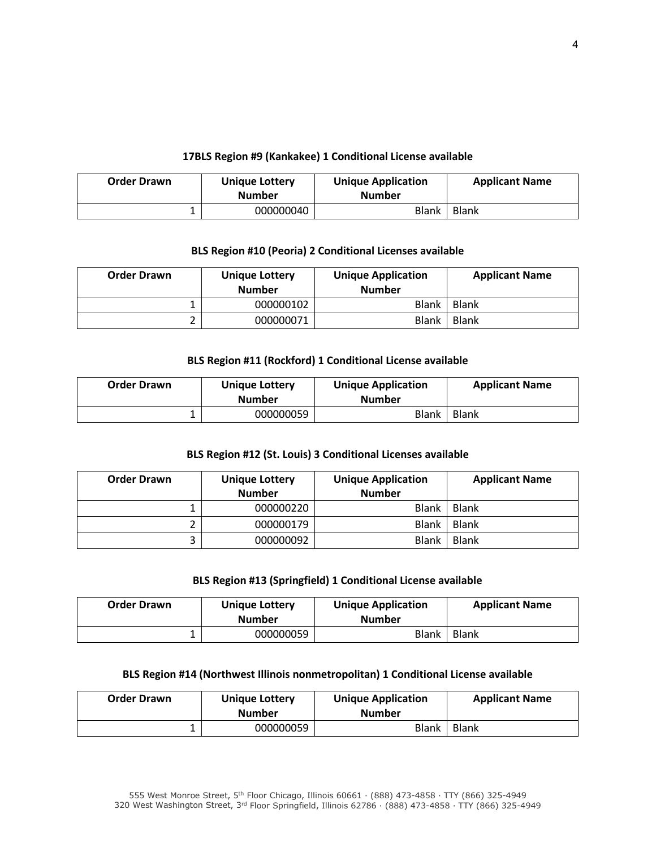## **17BLS Region #9 (Kankakee) 1 Conditional License available**

| <b>Order Drawn</b> | <b>Unique Lottery</b><br><b>Number</b> | <b>Unique Application</b><br><b>Number</b> | <b>Applicant Name</b> |
|--------------------|----------------------------------------|--------------------------------------------|-----------------------|
|                    | 000000040                              | Blank                                      | Blank                 |

## **BLS Region #10 (Peoria) 2 Conditional Licenses available**

| <b>Order Drawn</b> | <b>Unique Lottery</b><br><b>Number</b> | <b>Unique Application</b><br><b>Number</b> | <b>Applicant Name</b> |
|--------------------|----------------------------------------|--------------------------------------------|-----------------------|
|                    | 000000102                              | Blank                                      | Blank                 |
|                    | 000000071                              | <b>Blank</b>                               | Blank                 |

## **BLS Region #11 (Rockford) 1 Conditional License available**

| <b>Order Drawn</b> | <b>Unique Lottery</b><br><b>Number</b> | <b>Unique Application</b><br><b>Number</b> | <b>Applicant Name</b> |
|--------------------|----------------------------------------|--------------------------------------------|-----------------------|
|                    | 000000059                              | <b>Blank</b>                               | <b>Blank</b>          |

## **BLS Region #12 (St. Louis) 3 Conditional Licenses available**

| <b>Order Drawn</b> | <b>Unique Lottery</b><br><b>Number</b> | <b>Unique Application</b><br><b>Number</b> | <b>Applicant Name</b> |
|--------------------|----------------------------------------|--------------------------------------------|-----------------------|
|                    | 000000220                              | <b>Blank</b>                               | <b>Blank</b>          |
|                    | 000000179                              | <b>Blank</b>                               | <b>Blank</b>          |
|                    | 000000092                              | <b>Blank</b>                               | <b>Blank</b>          |

## **BLS Region #13 (Springfield) 1 Conditional License available**

| <b>Order Drawn</b> | <b>Unique Lottery</b><br><b>Number</b> | <b>Unique Application</b><br><b>Number</b> | <b>Applicant Name</b> |
|--------------------|----------------------------------------|--------------------------------------------|-----------------------|
|                    | 000000059                              | Blank                                      | Blank                 |

## **BLS Region #14 (Northwest Illinois nonmetropolitan) 1 Conditional License available**

| <b>Order Drawn</b> | Unique Lottery<br><b>Number</b> | <b>Unique Application</b><br><b>Number</b> | <b>Applicant Name</b> |
|--------------------|---------------------------------|--------------------------------------------|-----------------------|
|                    | 000000059                       | <b>Blank</b>                               | Blank                 |